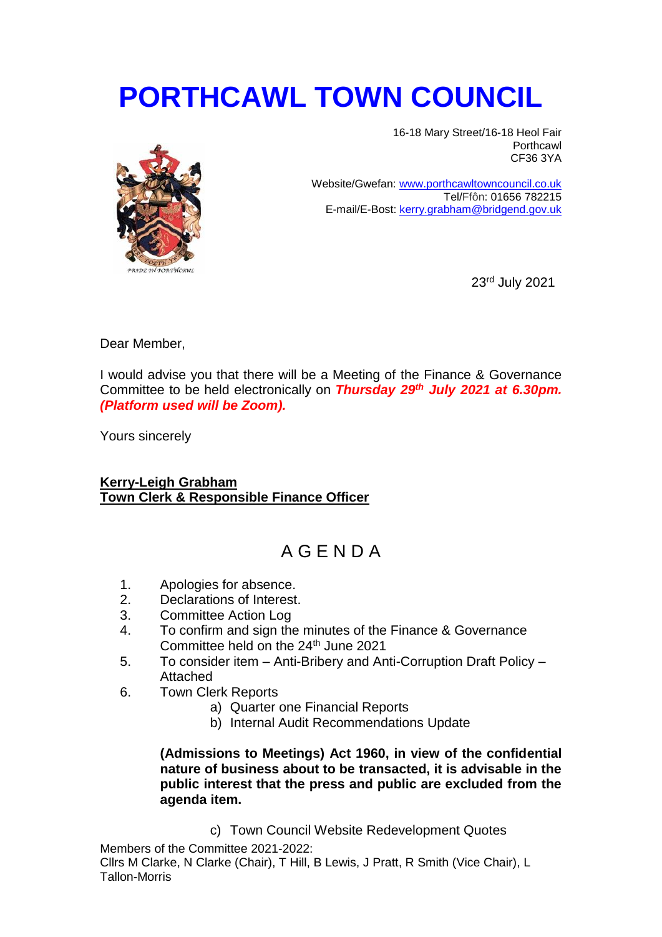## **PORTHCAWL TOWN COUNCIL**



16-18 Mary Street/16-18 Heol Fair Porthcawl CF36 3YA

Website/Gwefan: [www.porthcawltowncouncil.co.uk](http://www.porthcawltowncouncil.co.uk/) Tel/Ffôn: 01656 782215 E-mail/E-Bost: [kerry.grabham@bridgend.gov.uk](mailto:kerry.grabham@bridgend.gov.uk)

23rd July 2021

Dear Member,

I would advise you that there will be a Meeting of the Finance & Governance Committee to be held electronically on *Thursday 29th July 2021 at 6.30pm. (Platform used will be Zoom).*

Yours sincerely

## **Kerry-Leigh Grabham Town Clerk & Responsible Finance Officer**

## A G E N D A

- 1. Apologies for absence.
- 2. Declarations of Interest.
- 3. Committee Action Log
- 4. To confirm and sign the minutes of the Finance & Governance Committee held on the 24<sup>th</sup> June 2021
- 5. To consider item Anti-Bribery and Anti-Corruption Draft Policy Attached
- 6. Town Clerk Reports
	- a) Quarter one Financial Reports
	- b) Internal Audit Recommendations Update

**(Admissions to Meetings) Act 1960, in view of the confidential nature of business about to be transacted, it is advisable in the public interest that the press and public are excluded from the agenda item.** 

c) Town Council Website Redevelopment Quotes

Members of the Committee 2021-2022: Cllrs M Clarke, N Clarke (Chair), T Hill, B Lewis, J Pratt, R Smith (Vice Chair), L Tallon-Morris